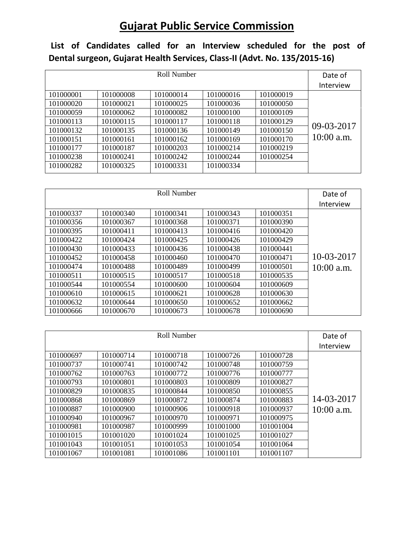## **Gujarat Public Service Commission**

**List of Candidates called for an Interview scheduled for the post of Dental surgeon, Gujarat Health Services, Class-II (Advt. No. 135/2015-16)** 

| Roll Number |           |           |           |           | Date of      |
|-------------|-----------|-----------|-----------|-----------|--------------|
|             |           |           |           |           | Interview    |
| 101000001   | 101000008 | 101000014 | 101000016 | 101000019 |              |
| 101000020   | 101000021 | 101000025 | 101000036 | 101000050 |              |
| 101000059   | 101000062 | 101000082 | 101000100 | 101000109 |              |
| 101000113   | 101000115 | 101000117 | 101000118 | 101000129 |              |
| 101000132   | 101000135 | 101000136 | 101000149 | 101000150 | 09-03-2017   |
| 101000151   | 101000161 | 101000162 | 101000169 | 101000170 | $10:00$ a.m. |
| 101000177   | 101000187 | 101000203 | 101000214 | 101000219 |              |
| 101000238   | 101000241 | 101000242 | 101000244 | 101000254 |              |
| 101000282   | 101000325 | 101000331 | 101000334 |           |              |

|           | Date of   |           |           |           |              |
|-----------|-----------|-----------|-----------|-----------|--------------|
|           |           |           |           |           | Interview    |
| 101000337 | 101000340 | 101000341 | 101000343 | 101000351 |              |
| 101000356 | 101000367 | 101000368 | 101000371 | 101000390 |              |
| 101000395 | 101000411 | 101000413 | 101000416 | 101000420 |              |
| 101000422 | 101000424 | 101000425 | 101000426 | 101000429 |              |
| 101000430 | 101000433 | 101000436 | 101000438 | 101000441 |              |
| 101000452 | 101000458 | 101000460 | 101000470 | 101000471 | 10-03-2017   |
| 101000474 | 101000488 | 101000489 | 101000499 | 101000501 | $10:00$ a.m. |
| 101000511 | 101000515 | 101000517 | 101000518 | 101000535 |              |
| 101000544 | 101000554 | 101000600 | 101000604 | 101000609 |              |
| 101000610 | 101000615 | 101000621 | 101000628 | 101000630 |              |
| 101000632 | 101000644 | 101000650 | 101000652 | 101000662 |              |
| 101000666 | 101000670 | 101000673 | 101000678 | 101000690 |              |

| Roll Number |           |           |           |           | Date of      |
|-------------|-----------|-----------|-----------|-----------|--------------|
|             | Interview |           |           |           |              |
| 101000697   | 101000714 | 101000718 | 101000726 | 101000728 |              |
| 101000737   | 101000741 | 101000742 | 101000748 | 101000759 |              |
| 101000762   | 101000763 | 101000772 | 101000776 | 101000777 |              |
| 101000793   | 101000801 | 101000803 | 101000809 | 101000827 |              |
| 101000829   | 101000835 | 101000844 | 101000850 | 101000855 |              |
| 101000868   | 101000869 | 101000872 | 101000874 | 101000883 | 14-03-2017   |
| 101000887   | 101000900 | 101000906 | 101000918 | 101000937 | $10:00$ a.m. |
| 101000940   | 101000967 | 101000970 | 101000971 | 101000975 |              |
| 101000981   | 101000987 | 101000999 | 101001000 | 101001004 |              |
| 101001015   | 101001020 | 101001024 | 101001025 | 101001027 |              |
| 101001043   | 101001051 | 101001053 | 101001054 | 101001064 |              |
| 101001067   | 101001081 | 101001086 | 101001101 | 101001107 |              |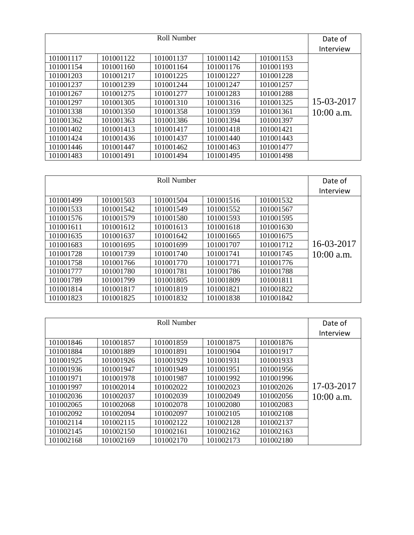|           | Date of   |           |           |           |              |
|-----------|-----------|-----------|-----------|-----------|--------------|
|           |           |           |           |           | Interview    |
| 101001117 | 101001122 | 101001137 | 101001142 | 101001153 |              |
| 101001154 | 101001160 | 101001164 | 101001176 | 101001193 |              |
| 101001203 | 101001217 | 101001225 | 101001227 | 101001228 |              |
| 101001237 | 101001239 | 101001244 | 101001247 | 101001257 |              |
| 101001267 | 101001275 | 101001277 | 101001283 | 101001288 |              |
| 101001297 | 101001305 | 101001310 | 101001316 | 101001325 | 15-03-2017   |
| 101001338 | 101001350 | 101001358 | 101001359 | 101001361 | $10:00$ a.m. |
| 101001362 | 101001363 | 101001386 | 101001394 | 101001397 |              |
| 101001402 | 101001413 | 101001417 | 101001418 | 101001421 |              |
| 101001424 | 101001436 | 101001437 | 101001440 | 101001443 |              |
| 101001446 | 101001447 | 101001462 | 101001463 | 101001477 |              |
| 101001483 | 101001491 | 101001494 | 101001495 | 101001498 |              |

|           | Date of   |           |           |           |              |
|-----------|-----------|-----------|-----------|-----------|--------------|
|           |           |           |           |           | Interview    |
| 101001499 | 101001503 | 101001504 | 101001516 | 101001532 |              |
| 101001533 | 101001542 | 101001549 | 101001552 | 101001567 |              |
| 101001576 | 101001579 | 101001580 | 101001593 | 101001595 |              |
| 101001611 | 101001612 | 101001613 | 101001618 | 101001630 |              |
| 101001635 | 101001637 | 101001642 | 101001665 | 101001675 |              |
| 101001683 | 101001695 | 101001699 | 101001707 | 101001712 | 16-03-2017   |
| 101001728 | 101001739 | 101001740 | 101001741 | 101001745 | $10:00$ a.m. |
| 101001758 | 101001766 | 101001770 | 101001771 | 101001776 |              |
| 101001777 | 101001780 | 101001781 | 101001786 | 101001788 |              |
| 101001789 | 101001799 | 101001805 | 101001809 | 101001811 |              |
| 101001814 | 101001817 | 101001819 | 101001821 | 101001822 |              |
| 101001823 | 101001825 | 101001832 | 101001838 | 101001842 |              |

|           | Date of   |           |           |           |              |
|-----------|-----------|-----------|-----------|-----------|--------------|
|           |           |           |           |           | Interview    |
| 101001846 | 101001857 | 101001859 | 101001875 | 101001876 |              |
| 101001884 | 101001889 | 101001891 | 101001904 | 101001917 |              |
| 101001925 | 101001926 | 101001929 | 101001931 | 101001933 |              |
| 101001936 | 101001947 | 101001949 | 101001951 | 101001956 |              |
| 101001971 | 101001978 | 101001987 | 101001992 | 101001996 |              |
| 101001997 | 101002014 | 101002022 | 101002023 | 101002026 | 17-03-2017   |
| 101002036 | 101002037 | 101002039 | 101002049 | 101002056 | $10:00$ a.m. |
| 101002065 | 101002068 | 101002078 | 101002080 | 101002083 |              |
| 101002092 | 101002094 | 101002097 | 101002105 | 101002108 |              |
| 101002114 | 101002115 | 101002122 | 101002128 | 101002137 |              |
| 101002145 | 101002150 | 101002161 | 101002162 | 101002163 |              |
| 101002168 | 101002169 | 101002170 | 101002173 | 101002180 |              |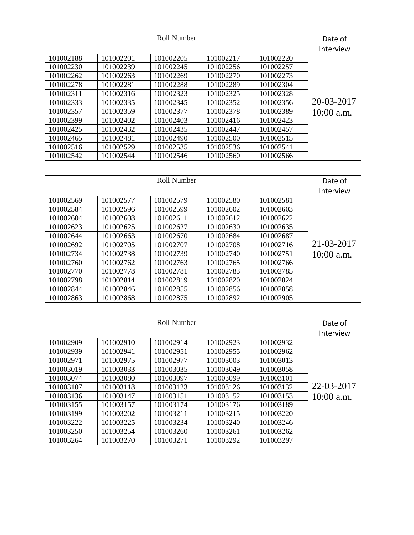| Roll Number |           |           |           |           | Date of      |
|-------------|-----------|-----------|-----------|-----------|--------------|
|             | Interview |           |           |           |              |
| 101002188   | 101002201 | 101002205 | 101002217 | 101002220 |              |
| 101002230   | 101002239 | 101002245 | 101002256 | 101002257 |              |
| 101002262   | 101002263 | 101002269 | 101002270 | 101002273 |              |
| 101002278   | 101002281 | 101002288 | 101002289 | 101002304 |              |
| 101002311   | 101002316 | 101002323 | 101002325 | 101002328 |              |
| 101002333   | 101002335 | 101002345 | 101002352 | 101002356 | 20-03-2017   |
| 101002357   | 101002359 | 101002377 | 101002378 | 101002389 | $10:00$ a.m. |
| 101002399   | 101002402 | 101002403 | 101002416 | 101002423 |              |
| 101002425   | 101002432 | 101002435 | 101002447 | 101002457 |              |
| 101002465   | 101002481 | 101002490 | 101002500 | 101002515 |              |
| 101002516   | 101002529 | 101002535 | 101002536 | 101002541 |              |
| 101002542   | 101002544 | 101002546 | 101002560 | 101002566 |              |

|           | Date of   |           |           |           |              |  |
|-----------|-----------|-----------|-----------|-----------|--------------|--|
|           |           |           |           |           |              |  |
| 101002569 | 101002577 | 101002579 | 101002580 | 101002581 |              |  |
| 101002584 | 101002596 | 101002599 | 101002602 | 101002603 |              |  |
| 101002604 | 101002608 | 101002611 | 101002612 | 101002622 |              |  |
| 101002623 | 101002625 | 101002627 | 101002630 | 101002635 |              |  |
| 101002644 | 101002663 | 101002670 | 101002684 | 101002687 |              |  |
| 101002692 | 101002705 | 101002707 | 101002708 | 101002716 | 21-03-2017   |  |
| 101002734 | 101002738 | 101002739 | 101002740 | 101002751 | $10:00$ a.m. |  |
| 101002760 | 101002762 | 101002763 | 101002765 | 101002766 |              |  |
| 101002770 | 101002778 | 101002781 | 101002783 | 101002785 |              |  |
| 101002798 | 101002814 | 101002819 | 101002820 | 101002824 |              |  |
| 101002844 | 101002846 | 101002855 | 101002856 | 101002858 |              |  |
| 101002863 | 101002868 | 101002875 | 101002892 | 101002905 |              |  |

|           | Date of   |           |           |           |              |
|-----------|-----------|-----------|-----------|-----------|--------------|
|           |           |           |           |           | Interview    |
| 101002909 | 101002910 | 101002914 | 101002923 | 101002932 |              |
| 101002939 | 101002941 | 101002951 | 101002955 | 101002962 |              |
| 101002971 | 101002975 | 101002977 | 101003003 | 101003013 |              |
| 101003019 | 101003033 | 101003035 | 101003049 | 101003058 |              |
| 101003074 | 101003080 | 101003097 | 101003099 | 101003101 |              |
| 101003107 | 101003118 | 101003123 | 101003126 | 101003132 | 22-03-2017   |
| 101003136 | 101003147 | 101003151 | 101003152 | 101003153 | $10:00$ a.m. |
| 101003155 | 101003157 | 101003174 | 101003176 | 101003189 |              |
| 101003199 | 101003202 | 101003211 | 101003215 | 101003220 |              |
| 101003222 | 101003225 | 101003234 | 101003240 | 101003246 |              |
| 101003250 | 101003254 | 101003260 | 101003261 | 101003262 |              |
| 101003264 | 101003270 | 101003271 | 101003292 | 101003297 |              |